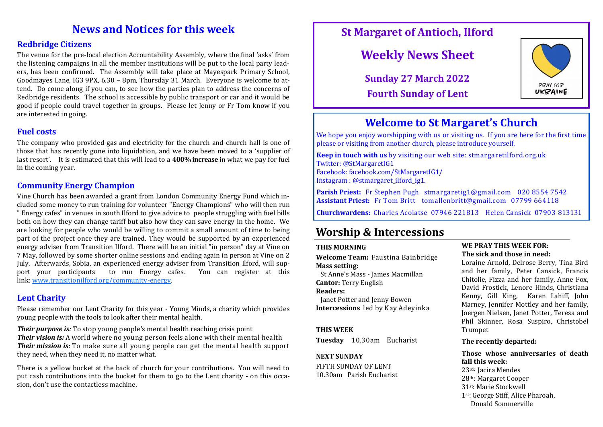# **News and Notices for this week**

## **Redbridge Citizens**

The venue for the pre-local election Accountability Assembly, where the final 'asks' from the listening campaigns in all the member institutions will be put to the local party leaders, has been confirmed. The Assembly will take place at Mayespark Primary School, Goodmayes Lane, IG3 9PX, 6.30 – 8pm, Thursday 31 March. Everyone is welcome to attend. Do come along if you can, to see how the parties plan to address the concerns of Redbridge residents. The school is accessible by public transport or car and it would be good if people could travel together in groups. Please let Jenny or Fr Tom know if you are interested in going.

# **Fuel costs**

The company who provided gas and electricity for the church and church hall is one of those that has recently gone into liquidation, and we have been moved to a 'supplier of last resort'. It is estimated that this will lead to a **400% increase** in what we pay for fuel in the coming year.

# **Community Energy Champion**

Vine Church has been awarded a grant from London Community Energy Fund which included some money to run training for volunteer "Energy Champions" who will then run " Energy cafes" in venues in south Ilford to give advice to people struggling with fuel bills both on how they can change tariff but also how they can save energy in the home. We are looking for people who would be willing to commit a small amount of time to being part of the project once they are trained. They would be supported by an experienced energy adviser from Transition Ilford. There will be an initial "in person" day at Vine on 7 May, followed by some shorter online sessions and ending again in person at Vine on 2 July. Afterwards, Sobia, an experienced energy adviser from Transition Ilford, will sup-<br>port vour participants to run Energy cafes. You can register at this port your participants to run Energy cafes. You can register at this link: [www.transitionilford.org/community](https://www.transitionilford.org/community-energy)-energy.

## **Lent Charity**

Please remember our Lent Charity for this year - Young Minds, a charity which provides young people with the tools to look after their mental health.

*Their purpose is:* To stop young people's mental health reaching crisis point *Their vision is:* A world where no young person feels alone with their mental health *Their mission is:* To make sure all young people can get the mental health support they need, when they need it, no matter what.

There is a yellow bucket at the back of church for your contributions. You will need to put cash contributions into the bucket for them to go to the Lent charity - on this occasion, don't use the contactless machine.

# **St Margaret of Antioch, Ilford**

# **Weekly News Sheet**

**Sunday 27 March 2022 Fourth Sunday of Lent**



# **Welcome to St Margaret's Church**

We hope you enjoy worshipping with us or visiting us. If you are here for the first time please or visiting from another church, please introduce yourself.

**Keep in touch with us** by visiting our web site: stmargaretilford.org.uk Twitter: @StMargaretIG1 Facebook: facebook.com/StMargaretIG1/ Instagram : @stmargaret\_ilford\_ig1.

**Parish Priest:** Fr Stephen Pugh stmargaretig1@gmail.com 020 8554 7542 **Assistant Priest:** Fr Tom Britt tomallenbritt@gmail.com 07799 664118

**Churchwardens:** Charles Acolatse 07946 221813 Helen Cansick 07903 813131

# **Worship & Intercessions**

#### **THIS MORNING**

**Welcome Team:** Faustina Bainbridge **Mass setting:** 

 St Anne's Mass - James Macmillan **Cantor:** Terry English

### **Readers:**

 Janet Potter and Jenny Bowen **Intercessions** led by Kay Adeyinka

### **THIS WEEK**

**Tuesday** 10.30am Eucharist

### **NEXT SUNDAY**

FIFTH SUNDAY OF LENT 10.30am Parish Eucharist

#### **WE PRAY THIS WEEK FOR: The sick and those in need:**

Loraine Arnold, Delrose Berry, Tina Bird and her family, Peter Cansick, Francis Chitolie, Fizza and her family, Anne Fox, David Frostick, Lenore Hinds, Christiana Kenny, Gill King, Karen Lahiff, John Marney, Jennifer Mottley and her family, Joergen Nielsen, Janet Potter, Teresa and Phil Skinner, Rosa Suspiro, Christobel Trumpet

#### **The recently departed:**

**Those whose anniversaries of death fall this week:** 23rd: Jacira Mendes 28th: Margaret Cooper 31st: Marie Stockwell 1st: George Stiff, Alice Pharoah, Donald Sommerville